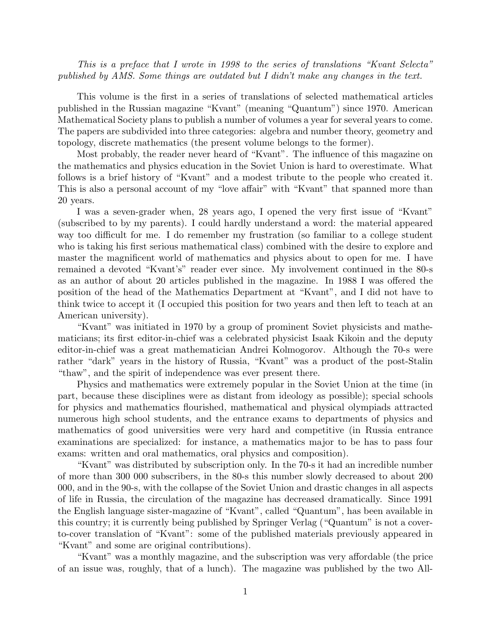This is a preface that I wrote in 1998 to the series of translations "Kvant Selecta" published by AMS. Some things are outdated but I didn't make any changes in the text.

This volume is the first in a series of translations of selected mathematical articles published in the Russian magazine "Kvant" (meaning "Quantum") since 1970. American Mathematical Society plans to publish a number of volumes a year for several years to come. The papers are subdivided into three categories: algebra and number theory, geometry and topology, discrete mathematics (the present volume belongs to the former).

Most probably, the reader never heard of "Kvant". The influence of this magazine on the mathematics and physics education in the Soviet Union is hard to overestimate. What follows is a brief history of "Kvant" and a modest tribute to the people who created it. This is also a personal account of my "love affair" with "Kvant" that spanned more than 20 years.

I was a seven-grader when, 28 years ago, I opened the very first issue of "Kvant" (subscribed to by my parents). I could hardly understand a word: the material appeared way too difficult for me. I do remember my frustration (so familiar to a college student who is taking his first serious mathematical class) combined with the desire to explore and master the magnificent world of mathematics and physics about to open for me. I have remained a devoted "Kvant's" reader ever since. My involvement continued in the 80-s as an author of about 20 articles published in the magazine. In 1988 I was offered the position of the head of the Mathematics Department at "Kvant", and I did not have to think twice to accept it (I occupied this position for two years and then left to teach at an American university).

"Kvant" was initiated in 1970 by a group of prominent Soviet physicists and mathematicians; its first editor-in-chief was a celebrated physicist Isaak Kikoin and the deputy editor-in-chief was a great mathematician Andrei Kolmogorov. Although the 70-s were rather "dark" years in the history of Russia, "Kvant" was a product of the post-Stalin "thaw", and the spirit of independence was ever present there.

Physics and mathematics were extremely popular in the Soviet Union at the time (in part, because these disciplines were as distant from ideology as possible); special schools for physics and mathematics flourished, mathematical and physical olympiads attracted numerous high school students, and the entrance exams to departments of physics and mathematics of good universities were very hard and competitive (in Russia entrance examinations are specialized: for instance, a mathematics major to be has to pass four exams: written and oral mathematics, oral physics and composition).

"Kvant" was distributed by subscription only. In the 70-s it had an incredible number of more than 300 000 subscribers, in the 80-s this number slowly decreased to about 200 000, and in the 90-s, with the collapse of the Soviet Union and drastic changes in all aspects of life in Russia, the circulation of the magazine has decreased dramatically. Since 1991 the English language sister-magazine of "Kvant", called "Quantum", has been available in this country; it is currently being published by Springer Verlag ("Quantum" is not a coverto-cover translation of "Kvant": some of the published materials previously appeared in "Kvant" and some are original contributions).

"Kvant" was a monthly magazine, and the subscription was very affordable (the price of an issue was, roughly, that of a lunch). The magazine was published by the two All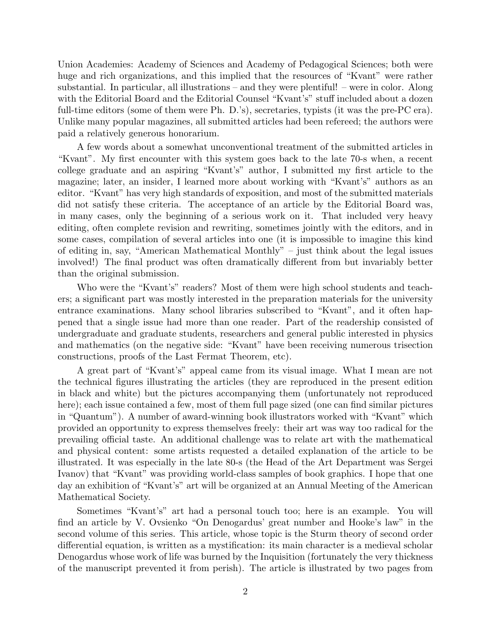Union Academies: Academy of Sciences and Academy of Pedagogical Sciences; both were huge and rich organizations, and this implied that the resources of "Kvant" were rather substantial. In particular, all illustrations – and they were plentiful! – were in color. Along with the Editorial Board and the Editorial Counsel "Kvant's" stuff included about a dozen full-time editors (some of them were Ph. D.'s), secretaries, typists (it was the pre-PC era). Unlike many popular magazines, all submitted articles had been refereed; the authors were paid a relatively generous honorarium.

A few words about a somewhat unconventional treatment of the submitted articles in "Kvant". My first encounter with this system goes back to the late 70-s when, a recent college graduate and an aspiring "Kvant's" author, I submitted my first article to the magazine; later, an insider, I learned more about working with "Kvant's" authors as an editor. "Kvant" has very high standards of exposition, and most of the submitted materials did not satisfy these criteria. The acceptance of an article by the Editorial Board was, in many cases, only the beginning of a serious work on it. That included very heavy editing, often complete revision and rewriting, sometimes jointly with the editors, and in some cases, compilation of several articles into one (it is impossible to imagine this kind of editing in, say, "American Mathematical Monthly" – just think about the legal issues involved!) The final product was often dramatically different from but invariably better than the original submission.

Who were the "Kvant's" readers? Most of them were high school students and teachers; a significant part was mostly interested in the preparation materials for the university entrance examinations. Many school libraries subscribed to "Kvant", and it often happened that a single issue had more than one reader. Part of the readership consisted of undergraduate and graduate students, researchers and general public interested in physics and mathematics (on the negative side: "Kvant" have been receiving numerous trisection constructions, proofs of the Last Fermat Theorem, etc).

A great part of "Kvant's" appeal came from its visual image. What I mean are not the technical figures illustrating the articles (they are reproduced in the present edition in black and white) but the pictures accompanying them (unfortunately not reproduced here); each issue contained a few, most of them full page sized (one can find similar pictures in "Quantum"). A number of award-winning book illustrators worked with "Kvant" which provided an opportunity to express themselves freely: their art was way too radical for the prevailing official taste. An additional challenge was to relate art with the mathematical and physical content: some artists requested a detailed explanation of the article to be illustrated. It was especially in the late 80-s (the Head of the Art Department was Sergei Ivanov) that "Kvant" was providing world-class samples of book graphics. I hope that one day an exhibition of "Kvant's" art will be organized at an Annual Meeting of the American Mathematical Society.

Sometimes "Kvant's" art had a personal touch too; here is an example. You will find an article by V. Ovsienko "On Denogardus' great number and Hooke's law" in the second volume of this series. This article, whose topic is the Sturm theory of second order differential equation, is written as a mystification: its main character is a medieval scholar Denogardus whose work of life was burned by the Inquisition (fortunately the very thickness of the manuscript prevented it from perish). The article is illustrated by two pages from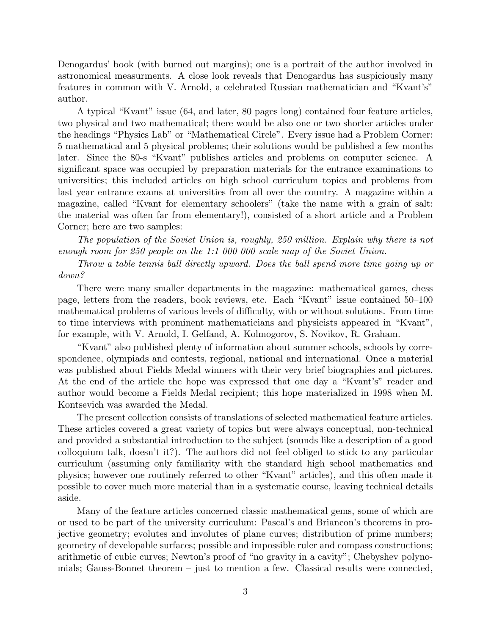Denogardus' book (with burned out margins); one is a portrait of the author involved in astronomical measurments. A close look reveals that Denogardus has suspiciously many features in common with V. Arnold, a celebrated Russian mathematician and "Kvant's" author.

A typical "Kvant" issue (64, and later, 80 pages long) contained four feature articles, two physical and two mathematical; there would be also one or two shorter articles under the headings "Physics Lab" or "Mathematical Circle". Every issue had a Problem Corner: 5 mathematical and 5 physical problems; their solutions would be published a few months later. Since the 80-s "Kvant" publishes articles and problems on computer science. A significant space was occupied by preparation materials for the entrance examinations to universities; this included articles on high school curriculum topics and problems from last year entrance exams at universities from all over the country. A magazine within a magazine, called "Kvant for elementary schoolers" (take the name with a grain of salt: the material was often far from elementary!), consisted of a short article and a Problem Corner; here are two samples:

The population of the Soviet Union is, roughly, 250 million. Explain why there is not enough room for 250 people on the 1:1 000 000 scale map of the Soviet Union.

Throw a table tennis ball directly upward. Does the ball spend more time going up or down?

There were many smaller departments in the magazine: mathematical games, chess page, letters from the readers, book reviews, etc. Each "Kvant" issue contained 50–100 mathematical problems of various levels of difficulty, with or without solutions. From time to time interviews with prominent mathematicians and physicists appeared in "Kvant", for example, with V. Arnold, I. Gelfand, A. Kolmogorov, S. Novikov, R. Graham.

"Kvant" also published plenty of information about summer schools, schools by correspondence, olympiads and contests, regional, national and international. Once a material was published about Fields Medal winners with their very brief biographies and pictures. At the end of the article the hope was expressed that one day a "Kvant's" reader and author would become a Fields Medal recipient; this hope materialized in 1998 when M. Kontsevich was awarded the Medal.

The present collection consists of translations of selected mathematical feature articles. These articles covered a great variety of topics but were always conceptual, non-technical and provided a substantial introduction to the subject (sounds like a description of a good colloquium talk, doesn't it?). The authors did not feel obliged to stick to any particular curriculum (assuming only familiarity with the standard high school mathematics and physics; however one routinely referred to other "Kvant" articles), and this often made it possible to cover much more material than in a systematic course, leaving technical details aside.

Many of the feature articles concerned classic mathematical gems, some of which are or used to be part of the university curriculum: Pascal's and Briancon's theorems in projective geometry; evolutes and involutes of plane curves; distribution of prime numbers; geometry of developable surfaces; possible and impossible ruler and compass constructions; arithmetic of cubic curves; Newton's proof of "no gravity in a cavity"; Chebyshev polynomials; Gauss-Bonnet theorem – just to mention a few. Classical results were connected,